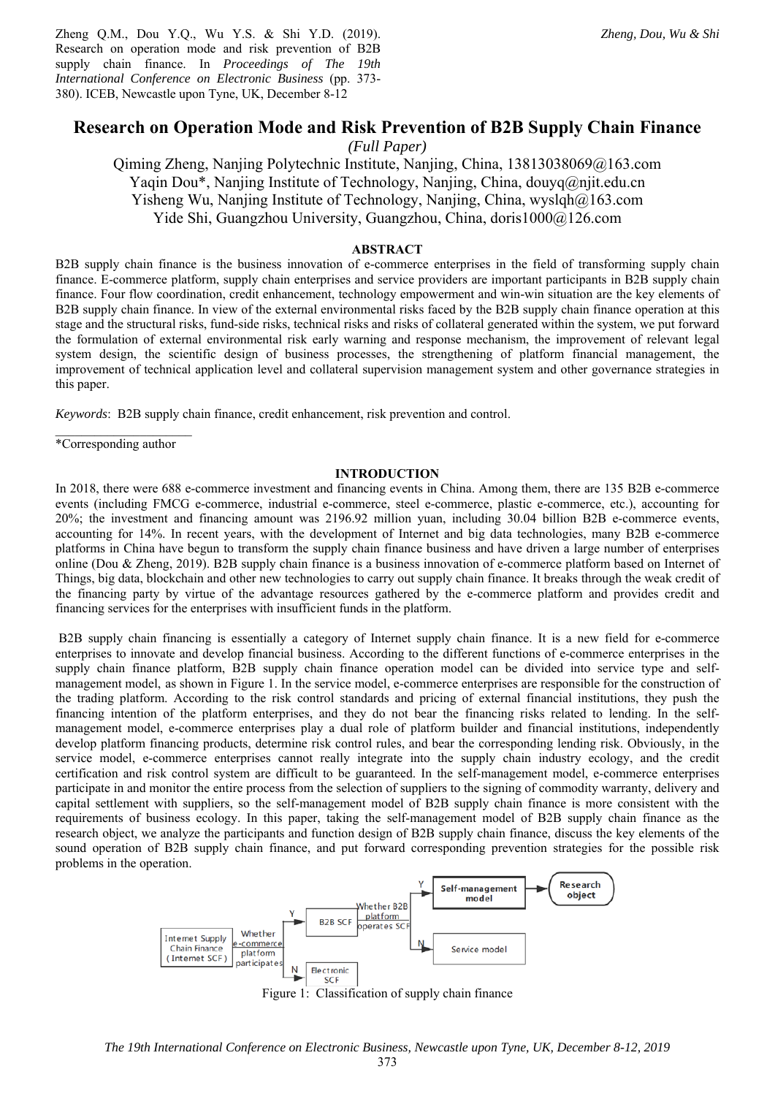Zheng Q.M., Dou Y.Q., Wu Y.S. & Shi Y.D. (2019). Research on operation mode and risk prevention of B2B supply chain finance. In *Proceedings of The 19th International Conference on Electronic Business* (pp. 373- 380). ICEB, Newcastle upon Tyne, UK, December 8-12

# **Research on Operation Mode and Risk Prevention of B2B Supply Chain Finance**

*(Full Paper)* 

Qiming Zheng, Nanjing Polytechnic Institute, Nanjing, China, 13813038069@163.com Yaqin Dou\*, Nanjing Institute of Technology, Nanjing, China, douyq@njit.edu.cn Yisheng Wu, Nanjing Institute of Technology, Nanjing, China, wyslqh@163.com Yide Shi, Guangzhou University, Guangzhou, China, doris1000@126.com

# **ABSTRACT**

B2B supply chain finance is the business innovation of e-commerce enterprises in the field of transforming supply chain finance. E-commerce platform, supply chain enterprises and service providers are important participants in B2B supply chain finance. Four flow coordination, credit enhancement, technology empowerment and win-win situation are the key elements of B2B supply chain finance. In view of the external environmental risks faced by the B2B supply chain finance operation at this stage and the structural risks, fund-side risks, technical risks and risks of collateral generated within the system, we put forward the formulation of external environmental risk early warning and response mechanism, the improvement of relevant legal system design, the scientific design of business processes, the strengthening of platform financial management, the improvement of technical application level and collateral supervision management system and other governance strategies in this paper.

*Keywords*: B2B supply chain finance, credit enhancement, risk prevention and control.

 $\overline{\phantom{a}}$  , where  $\overline{\phantom{a}}$ \*Corresponding author

#### **INTRODUCTION**

In 2018, there were 688 e-commerce investment and financing events in China. Among them, there are 135 B2B e-commerce events (including FMCG e-commerce, industrial e-commerce, steel e-commerce, plastic e-commerce, etc.), accounting for 20%; the investment and financing amount was 2196.92 million yuan, including 30.04 billion B2B e-commerce events, accounting for 14%. In recent years, with the development of Internet and big data technologies, many B2B e-commerce platforms in China have begun to transform the supply chain finance business and have driven a large number of enterprises online (Dou & Zheng, 2019). B2B supply chain finance is a business innovation of e-commerce platform based on Internet of Things, big data, blockchain and other new technologies to carry out supply chain finance. It breaks through the weak credit of the financing party by virtue of the advantage resources gathered by the e-commerce platform and provides credit and financing services for the enterprises with insufficient funds in the platform.

 B2B supply chain financing is essentially a category of Internet supply chain finance. It is a new field for e-commerce enterprises to innovate and develop financial business. According to the different functions of e-commerce enterprises in the supply chain finance platform, B2B supply chain finance operation model can be divided into service type and selfmanagement model, as shown in Figure 1. In the service model, e-commerce enterprises are responsible for the construction of the trading platform. According to the risk control standards and pricing of external financial institutions, they push the financing intention of the platform enterprises, and they do not bear the financing risks related to lending. In the selfmanagement model, e-commerce enterprises play a dual role of platform builder and financial institutions, independently develop platform financing products, determine risk control rules, and bear the corresponding lending risk. Obviously, in the service model, e-commerce enterprises cannot really integrate into the supply chain industry ecology, and the credit certification and risk control system are difficult to be guaranteed. In the self-management model, e-commerce enterprises participate in and monitor the entire process from the selection of suppliers to the signing of commodity warranty, delivery and capital settlement with suppliers, so the self-management model of B2B supply chain finance is more consistent with the requirements of business ecology. In this paper, taking the self-management model of B2B supply chain finance as the research object, we analyze the participants and function design of B2B supply chain finance, discuss the key elements of the sound operation of B2B supply chain finance, and put forward corresponding prevention strategies for the possible risk problems in the operation.



Figure 1: Classification of supply chain finance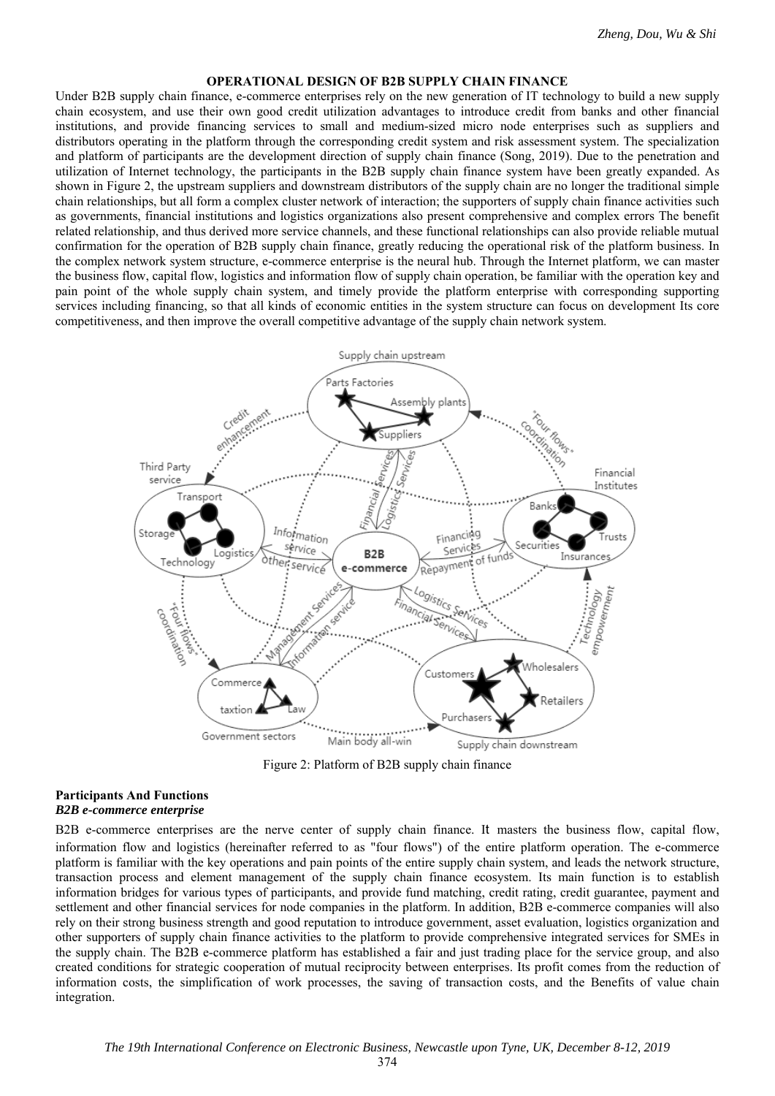# **OPERATIONAL DESIGN OF B2B SUPPLY CHAIN FINANCE**

Under B2B supply chain finance, e-commerce enterprises rely on the new generation of IT technology to build a new supply chain ecosystem, and use their own good credit utilization advantages to introduce credit from banks and other financial institutions, and provide financing services to small and medium-sized micro node enterprises such as suppliers and distributors operating in the platform through the corresponding credit system and risk assessment system. The specialization and platform of participants are the development direction of supply chain finance (Song, 2019). Due to the penetration and utilization of Internet technology, the participants in the B2B supply chain finance system have been greatly expanded. As shown in Figure 2, the upstream suppliers and downstream distributors of the supply chain are no longer the traditional simple chain relationships, but all form a complex cluster network of interaction; the supporters of supply chain finance activities such as governments, financial institutions and logistics organizations also present comprehensive and complex errors The benefit related relationship, and thus derived more service channels, and these functional relationships can also provide reliable mutual confirmation for the operation of B2B supply chain finance, greatly reducing the operational risk of the platform business. In the complex network system structure, e-commerce enterprise is the neural hub. Through the Internet platform, we can master the business flow, capital flow, logistics and information flow of supply chain operation, be familiar with the operation key and pain point of the whole supply chain system, and timely provide the platform enterprise with corresponding supporting services including financing, so that all kinds of economic entities in the system structure can focus on development Its core competitiveness, and then improve the overall competitive advantage of the supply chain network system.



Figure 2: Platform of B2B supply chain finance

#### **Participants And Functions**  *B2B e-commerce enterprise*

B2B e-commerce enterprises are the nerve center of supply chain finance. It masters the business flow, capital flow, information flow and logistics (hereinafter referred to as "four flows") of the entire platform operation. The e-commerce platform is familiar with the key operations and pain points of the entire supply chain system, and leads the network structure, transaction process and element management of the supply chain finance ecosystem. Its main function is to establish information bridges for various types of participants, and provide fund matching, credit rating, credit guarantee, payment and settlement and other financial services for node companies in the platform. In addition, B2B e-commerce companies will also rely on their strong business strength and good reputation to introduce government, asset evaluation, logistics organization and other supporters of supply chain finance activities to the platform to provide comprehensive integrated services for SMEs in the supply chain. The B2B e-commerce platform has established a fair and just trading place for the service group, and also created conditions for strategic cooperation of mutual reciprocity between enterprises. Its profit comes from the reduction of information costs, the simplification of work processes, the saving of transaction costs, and the Benefits of value chain integration.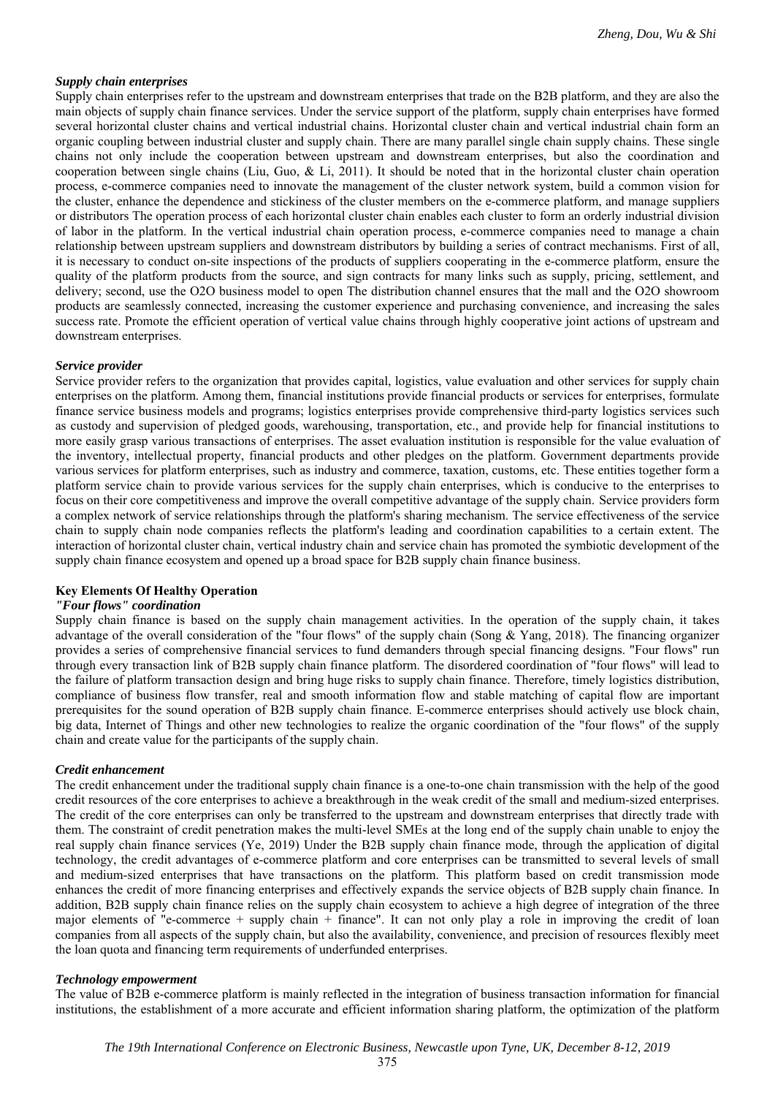# *Supply chain enterprises*

Supply chain enterprises refer to the upstream and downstream enterprises that trade on the B2B platform, and they are also the main objects of supply chain finance services. Under the service support of the platform, supply chain enterprises have formed several horizontal cluster chains and vertical industrial chains. Horizontal cluster chain and vertical industrial chain form an organic coupling between industrial cluster and supply chain. There are many parallel single chain supply chains. These single chains not only include the cooperation between upstream and downstream enterprises, but also the coordination and cooperation between single chains (Liu, Guo, & Li, 2011). It should be noted that in the horizontal cluster chain operation process, e-commerce companies need to innovate the management of the cluster network system, build a common vision for the cluster, enhance the dependence and stickiness of the cluster members on the e-commerce platform, and manage suppliers or distributors The operation process of each horizontal cluster chain enables each cluster to form an orderly industrial division of labor in the platform. In the vertical industrial chain operation process, e-commerce companies need to manage a chain relationship between upstream suppliers and downstream distributors by building a series of contract mechanisms. First of all, it is necessary to conduct on-site inspections of the products of suppliers cooperating in the e-commerce platform, ensure the quality of the platform products from the source, and sign contracts for many links such as supply, pricing, settlement, and delivery; second, use the O2O business model to open The distribution channel ensures that the mall and the O2O showroom products are seamlessly connected, increasing the customer experience and purchasing convenience, and increasing the sales success rate. Promote the efficient operation of vertical value chains through highly cooperative joint actions of upstream and downstream enterprises.

### *Service provider*

Service provider refers to the organization that provides capital, logistics, value evaluation and other services for supply chain enterprises on the platform. Among them, financial institutions provide financial products or services for enterprises, formulate finance service business models and programs; logistics enterprises provide comprehensive third-party logistics services such as custody and supervision of pledged goods, warehousing, transportation, etc., and provide help for financial institutions to more easily grasp various transactions of enterprises. The asset evaluation institution is responsible for the value evaluation of the inventory, intellectual property, financial products and other pledges on the platform. Government departments provide various services for platform enterprises, such as industry and commerce, taxation, customs, etc. These entities together form a platform service chain to provide various services for the supply chain enterprises, which is conducive to the enterprises to focus on their core competitiveness and improve the overall competitive advantage of the supply chain. Service providers form a complex network of service relationships through the platform's sharing mechanism. The service effectiveness of the service chain to supply chain node companies reflects the platform's leading and coordination capabilities to a certain extent. The interaction of horizontal cluster chain, vertical industry chain and service chain has promoted the symbiotic development of the supply chain finance ecosystem and opened up a broad space for B2B supply chain finance business.

### **Key Elements Of Healthy Operation**

# *"Four flows" coordination*

Supply chain finance is based on the supply chain management activities. In the operation of the supply chain, it takes advantage of the overall consideration of the "four flows" of the supply chain (Song & Yang, 2018). The financing organizer provides a series of comprehensive financial services to fund demanders through special financing designs. "Four flows" run through every transaction link of B2B supply chain finance platform. The disordered coordination of "four flows" will lead to the failure of platform transaction design and bring huge risks to supply chain finance. Therefore, timely logistics distribution, compliance of business flow transfer, real and smooth information flow and stable matching of capital flow are important prerequisites for the sound operation of B2B supply chain finance. E-commerce enterprises should actively use block chain, big data, Internet of Things and other new technologies to realize the organic coordination of the "four flows" of the supply chain and create value for the participants of the supply chain.

### *Credit enhancement*

The credit enhancement under the traditional supply chain finance is a one-to-one chain transmission with the help of the good credit resources of the core enterprises to achieve a breakthrough in the weak credit of the small and medium-sized enterprises. The credit of the core enterprises can only be transferred to the upstream and downstream enterprises that directly trade with them. The constraint of credit penetration makes the multi-level SMEs at the long end of the supply chain unable to enjoy the real supply chain finance services (Ye, 2019) Under the B2B supply chain finance mode, through the application of digital technology, the credit advantages of e-commerce platform and core enterprises can be transmitted to several levels of small and medium-sized enterprises that have transactions on the platform. This platform based on credit transmission mode enhances the credit of more financing enterprises and effectively expands the service objects of B2B supply chain finance. In addition, B2B supply chain finance relies on the supply chain ecosystem to achieve a high degree of integration of the three major elements of "e-commerce + supply chain + finance". It can not only play a role in improving the credit of loan companies from all aspects of the supply chain, but also the availability, convenience, and precision of resources flexibly meet the loan quota and financing term requirements of underfunded enterprises.

# *Technology empowerment*

The value of B2B e-commerce platform is mainly reflected in the integration of business transaction information for financial institutions, the establishment of a more accurate and efficient information sharing platform, the optimization of the platform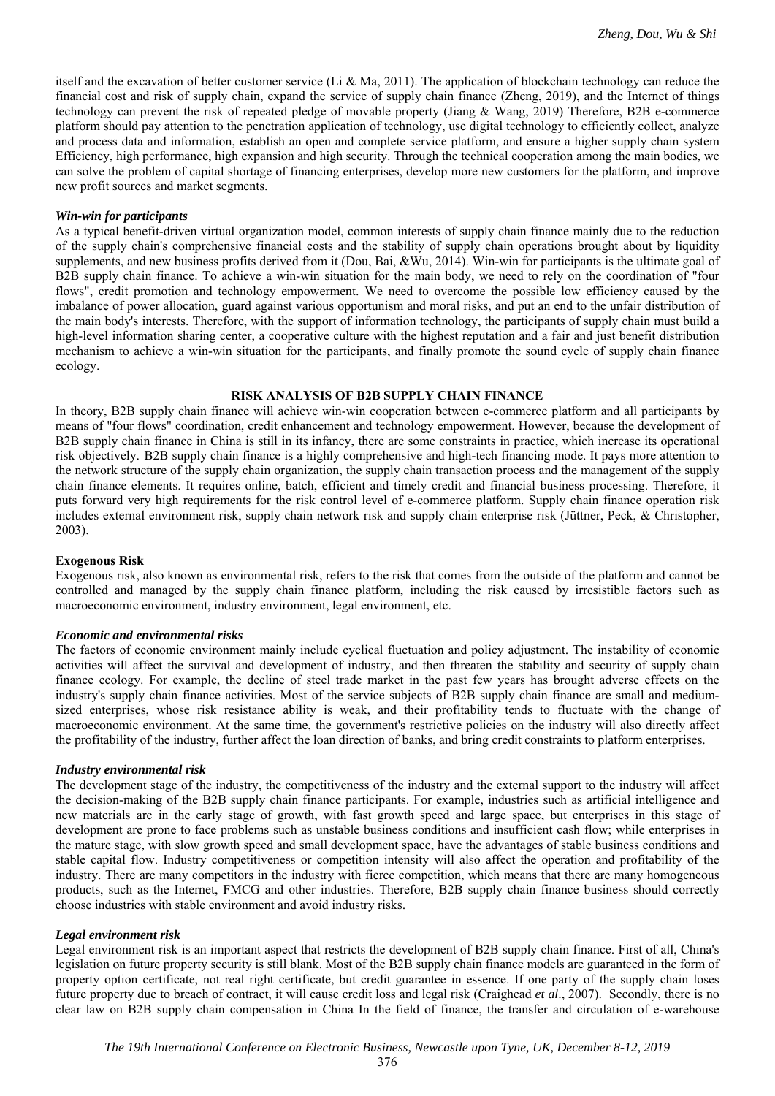itself and the excavation of better customer service (Li & Ma, 2011). The application of blockchain technology can reduce the financial cost and risk of supply chain, expand the service of supply chain finance (Zheng, 2019), and the Internet of things technology can prevent the risk of repeated pledge of movable property (Jiang & Wang, 2019) Therefore, B2B e-commerce platform should pay attention to the penetration application of technology, use digital technology to efficiently collect, analyze and process data and information, establish an open and complete service platform, and ensure a higher supply chain system Efficiency, high performance, high expansion and high security. Through the technical cooperation among the main bodies, we can solve the problem of capital shortage of financing enterprises, develop more new customers for the platform, and improve new profit sources and market segments.

# *Win-win for participants*

As a typical benefit-driven virtual organization model, common interests of supply chain finance mainly due to the reduction of the supply chain's comprehensive financial costs and the stability of supply chain operations brought about by liquidity supplements, and new business profits derived from it (Dou, Bai, &Wu, 2014). Win-win for participants is the ultimate goal of B2B supply chain finance. To achieve a win-win situation for the main body, we need to rely on the coordination of "four flows", credit promotion and technology empowerment. We need to overcome the possible low efficiency caused by the imbalance of power allocation, guard against various opportunism and moral risks, and put an end to the unfair distribution of the main body's interests. Therefore, with the support of information technology, the participants of supply chain must build a high-level information sharing center, a cooperative culture with the highest reputation and a fair and just benefit distribution mechanism to achieve a win-win situation for the participants, and finally promote the sound cycle of supply chain finance ecology.

# **RISK ANALYSIS OF B2B SUPPLY CHAIN FINANCE**

In theory, B2B supply chain finance will achieve win-win cooperation between e-commerce platform and all participants by means of "four flows" coordination, credit enhancement and technology empowerment. However, because the development of B2B supply chain finance in China is still in its infancy, there are some constraints in practice, which increase its operational risk objectively. B2B supply chain finance is a highly comprehensive and high-tech financing mode. It pays more attention to the network structure of the supply chain organization, the supply chain transaction process and the management of the supply chain finance elements. It requires online, batch, efficient and timely credit and financial business processing. Therefore, it puts forward very high requirements for the risk control level of e-commerce platform. Supply chain finance operation risk includes external environment risk, supply chain network risk and supply chain enterprise risk (Jüttner, Peck, & Christopher, 2003).

### **Exogenous Risk**

Exogenous risk, also known as environmental risk, refers to the risk that comes from the outside of the platform and cannot be controlled and managed by the supply chain finance platform, including the risk caused by irresistible factors such as macroeconomic environment, industry environment, legal environment, etc.

### *Economic and environmental risks*

The factors of economic environment mainly include cyclical fluctuation and policy adjustment. The instability of economic activities will affect the survival and development of industry, and then threaten the stability and security of supply chain finance ecology. For example, the decline of steel trade market in the past few years has brought adverse effects on the industry's supply chain finance activities. Most of the service subjects of B2B supply chain finance are small and mediumsized enterprises, whose risk resistance ability is weak, and their profitability tends to fluctuate with the change of macroeconomic environment. At the same time, the government's restrictive policies on the industry will also directly affect the profitability of the industry, further affect the loan direction of banks, and bring credit constraints to platform enterprises.

### *Industry environmental risk*

The development stage of the industry, the competitiveness of the industry and the external support to the industry will affect the decision-making of the B2B supply chain finance participants. For example, industries such as artificial intelligence and new materials are in the early stage of growth, with fast growth speed and large space, but enterprises in this stage of development are prone to face problems such as unstable business conditions and insufficient cash flow; while enterprises in the mature stage, with slow growth speed and small development space, have the advantages of stable business conditions and stable capital flow. Industry competitiveness or competition intensity will also affect the operation and profitability of the industry. There are many competitors in the industry with fierce competition, which means that there are many homogeneous products, such as the Internet, FMCG and other industries. Therefore, B2B supply chain finance business should correctly choose industries with stable environment and avoid industry risks.

### *Legal environment risk*

Legal environment risk is an important aspect that restricts the development of B2B supply chain finance. First of all, China's legislation on future property security is still blank. Most of the B2B supply chain finance models are guaranteed in the form of property option certificate, not real right certificate, but credit guarantee in essence. If one party of the supply chain loses future property due to breach of contract, it will cause credit loss and legal risk (Craighead *et al*., 2007). Secondly, there is no clear law on B2B supply chain compensation in China In the field of finance, the transfer and circulation of e-warehouse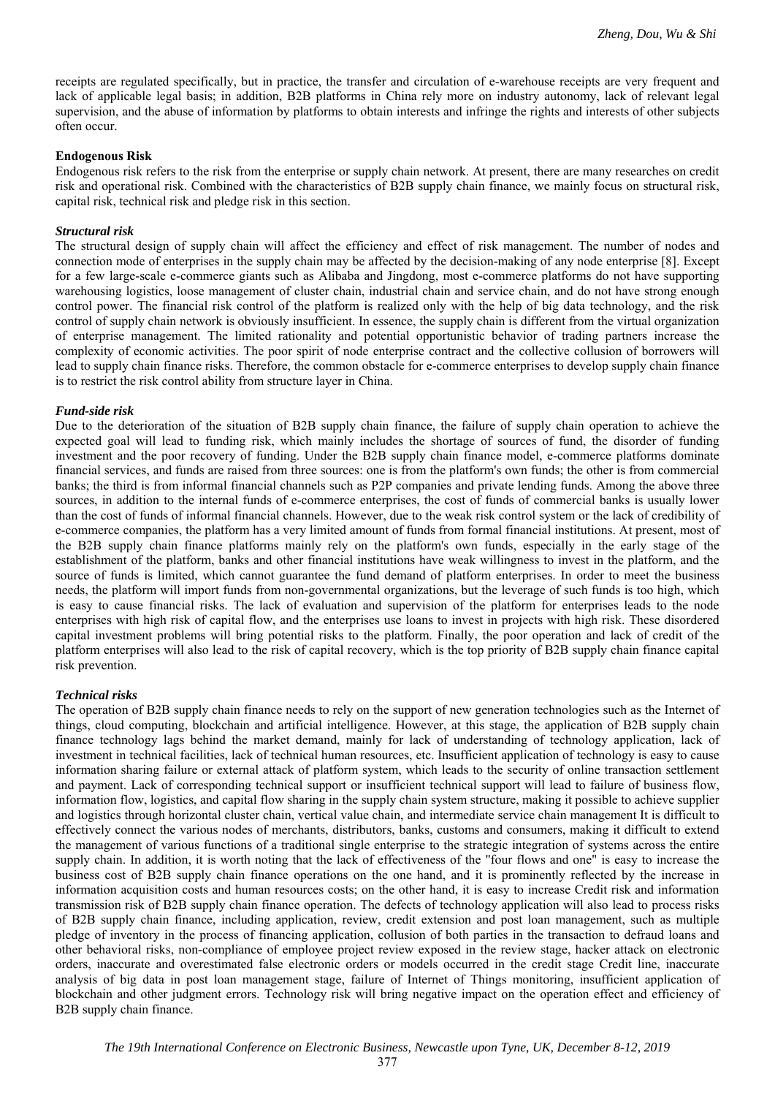receipts are regulated specifically, but in practice, the transfer and circulation of e-warehouse receipts are very frequent and lack of applicable legal basis; in addition, B2B platforms in China rely more on industry autonomy, lack of relevant legal supervision, and the abuse of information by platforms to obtain interests and infringe the rights and interests of other subjects often occur.

# **Endogenous Risk**

Endogenous risk refers to the risk from the enterprise or supply chain network. At present, there are many researches on credit risk and operational risk. Combined with the characteristics of B2B supply chain finance, we mainly focus on structural risk, capital risk, technical risk and pledge risk in this section.

# *Structural risk*

The structural design of supply chain will affect the efficiency and effect of risk management. The number of nodes and connection mode of enterprises in the supply chain may be affected by the decision-making of any node enterprise [8]. Except for a few large-scale e-commerce giants such as Alibaba and Jingdong, most e-commerce platforms do not have supporting warehousing logistics, loose management of cluster chain, industrial chain and service chain, and do not have strong enough control power. The financial risk control of the platform is realized only with the help of big data technology, and the risk control of supply chain network is obviously insufficient. In essence, the supply chain is different from the virtual organization of enterprise management. The limited rationality and potential opportunistic behavior of trading partners increase the complexity of economic activities. The poor spirit of node enterprise contract and the collective collusion of borrowers will lead to supply chain finance risks. Therefore, the common obstacle for e-commerce enterprises to develop supply chain finance is to restrict the risk control ability from structure layer in China.

# *Fund-side risk*

Due to the deterioration of the situation of B2B supply chain finance, the failure of supply chain operation to achieve the expected goal will lead to funding risk, which mainly includes the shortage of sources of fund, the disorder of funding investment and the poor recovery of funding. Under the B2B supply chain finance model, e-commerce platforms dominate financial services, and funds are raised from three sources: one is from the platform's own funds; the other is from commercial banks; the third is from informal financial channels such as P2P companies and private lending funds. Among the above three sources, in addition to the internal funds of e-commerce enterprises, the cost of funds of commercial banks is usually lower than the cost of funds of informal financial channels. However, due to the weak risk control system or the lack of credibility of e-commerce companies, the platform has a very limited amount of funds from formal financial institutions. At present, most of the B2B supply chain finance platforms mainly rely on the platform's own funds, especially in the early stage of the establishment of the platform, banks and other financial institutions have weak willingness to invest in the platform, and the source of funds is limited, which cannot guarantee the fund demand of platform enterprises. In order to meet the business needs, the platform will import funds from non-governmental organizations, but the leverage of such funds is too high, which is easy to cause financial risks. The lack of evaluation and supervision of the platform for enterprises leads to the node enterprises with high risk of capital flow, and the enterprises use loans to invest in projects with high risk. These disordered capital investment problems will bring potential risks to the platform. Finally, the poor operation and lack of credit of the platform enterprises will also lead to the risk of capital recovery, which is the top priority of B2B supply chain finance capital risk prevention.

### *Technical risks*

The operation of B2B supply chain finance needs to rely on the support of new generation technologies such as the Internet of things, cloud computing, blockchain and artificial intelligence. However, at this stage, the application of B2B supply chain finance technology lags behind the market demand, mainly for lack of understanding of technology application, lack of investment in technical facilities, lack of technical human resources, etc. Insufficient application of technology is easy to cause information sharing failure or external attack of platform system, which leads to the security of online transaction settlement and payment. Lack of corresponding technical support or insufficient technical support will lead to failure of business flow, information flow, logistics, and capital flow sharing in the supply chain system structure, making it possible to achieve supplier and logistics through horizontal cluster chain, vertical value chain, and intermediate service chain management It is difficult to effectively connect the various nodes of merchants, distributors, banks, customs and consumers, making it difficult to extend the management of various functions of a traditional single enterprise to the strategic integration of systems across the entire supply chain. In addition, it is worth noting that the lack of effectiveness of the "four flows and one" is easy to increase the business cost of B2B supply chain finance operations on the one hand, and it is prominently reflected by the increase in information acquisition costs and human resources costs; on the other hand, it is easy to increase Credit risk and information transmission risk of B2B supply chain finance operation. The defects of technology application will also lead to process risks of B2B supply chain finance, including application, review, credit extension and post loan management, such as multiple pledge of inventory in the process of financing application, collusion of both parties in the transaction to defraud loans and other behavioral risks, non-compliance of employee project review exposed in the review stage, hacker attack on electronic orders, inaccurate and overestimated false electronic orders or models occurred in the credit stage Credit line, inaccurate analysis of big data in post loan management stage, failure of Internet of Things monitoring, insufficient application of blockchain and other judgment errors. Technology risk will bring negative impact on the operation effect and efficiency of B2B supply chain finance.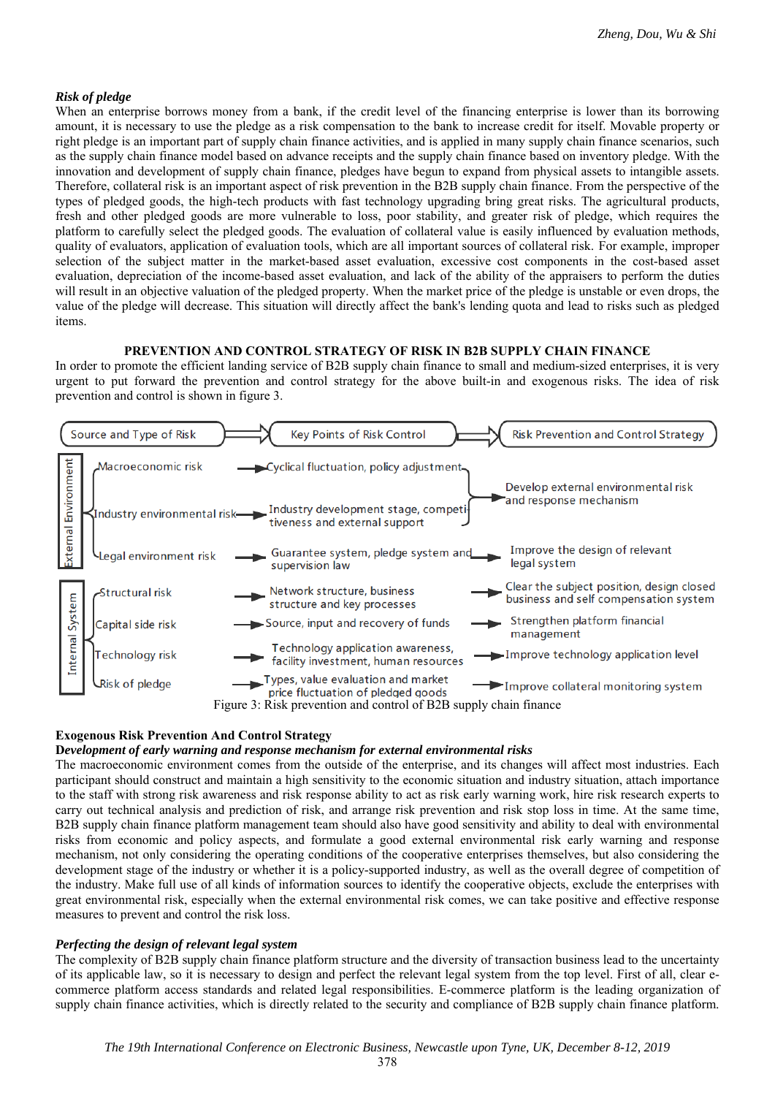# *Risk of pledge*

When an enterprise borrows money from a bank, if the credit level of the financing enterprise is lower than its borrowing amount, it is necessary to use the pledge as a risk compensation to the bank to increase credit for itself. Movable property or right pledge is an important part of supply chain finance activities, and is applied in many supply chain finance scenarios, such as the supply chain finance model based on advance receipts and the supply chain finance based on inventory pledge. With the innovation and development of supply chain finance, pledges have begun to expand from physical assets to intangible assets. Therefore, collateral risk is an important aspect of risk prevention in the B2B supply chain finance. From the perspective of the types of pledged goods, the high-tech products with fast technology upgrading bring great risks. The agricultural products, fresh and other pledged goods are more vulnerable to loss, poor stability, and greater risk of pledge, which requires the platform to carefully select the pledged goods. The evaluation of collateral value is easily influenced by evaluation methods, quality of evaluators, application of evaluation tools, which are all important sources of collateral risk. For example, improper selection of the subject matter in the market-based asset evaluation, excessive cost components in the cost-based asset evaluation, depreciation of the income-based asset evaluation, and lack of the ability of the appraisers to perform the duties will result in an objective valuation of the pledged property. When the market price of the pledge is unstable or even drops, the value of the pledge will decrease. This situation will directly affect the bank's lending quota and lead to risks such as pledged items.

#### **PREVENTION AND CONTROL STRATEGY OF RISK IN B2B SUPPLY CHAIN FINANCE**

In order to promote the efficient landing service of B2B supply chain finance to small and medium-sized enterprises, it is very urgent to put forward the prevention and control strategy for the above built-in and exogenous risks. The idea of risk prevention and control is shown in figure 3.



# **Exogenous Risk Prevention And Control Strategy**

# **D***evelopment of early warning and response mechanism for external environmental risks*

The macroeconomic environment comes from the outside of the enterprise, and its changes will affect most industries. Each participant should construct and maintain a high sensitivity to the economic situation and industry situation, attach importance to the staff with strong risk awareness and risk response ability to act as risk early warning work, hire risk research experts to carry out technical analysis and prediction of risk, and arrange risk prevention and risk stop loss in time. At the same time, B2B supply chain finance platform management team should also have good sensitivity and ability to deal with environmental risks from economic and policy aspects, and formulate a good external environmental risk early warning and response mechanism, not only considering the operating conditions of the cooperative enterprises themselves, but also considering the development stage of the industry or whether it is a policy-supported industry, as well as the overall degree of competition of the industry. Make full use of all kinds of information sources to identify the cooperative objects, exclude the enterprises with great environmental risk, especially when the external environmental risk comes, we can take positive and effective response measures to prevent and control the risk loss.

# *Perfecting the design of relevant legal system*

The complexity of B2B supply chain finance platform structure and the diversity of transaction business lead to the uncertainty of its applicable law, so it is necessary to design and perfect the relevant legal system from the top level. First of all, clear ecommerce platform access standards and related legal responsibilities. E-commerce platform is the leading organization of supply chain finance activities, which is directly related to the security and compliance of B2B supply chain finance platform.

378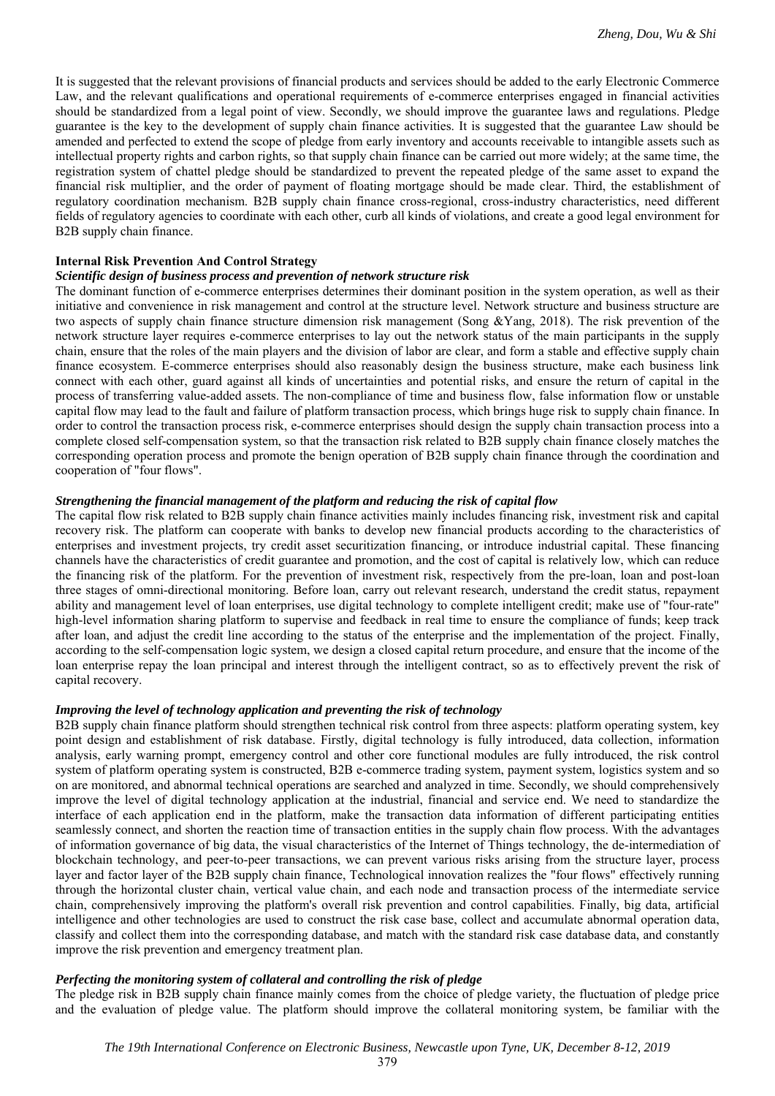It is suggested that the relevant provisions of financial products and services should be added to the early Electronic Commerce Law, and the relevant qualifications and operational requirements of e-commerce enterprises engaged in financial activities should be standardized from a legal point of view. Secondly, we should improve the guarantee laws and regulations. Pledge guarantee is the key to the development of supply chain finance activities. It is suggested that the guarantee Law should be amended and perfected to extend the scope of pledge from early inventory and accounts receivable to intangible assets such as intellectual property rights and carbon rights, so that supply chain finance can be carried out more widely; at the same time, the registration system of chattel pledge should be standardized to prevent the repeated pledge of the same asset to expand the financial risk multiplier, and the order of payment of floating mortgage should be made clear. Third, the establishment of regulatory coordination mechanism. B2B supply chain finance cross-regional, cross-industry characteristics, need different fields of regulatory agencies to coordinate with each other, curb all kinds of violations, and create a good legal environment for B2B supply chain finance.

### **Internal Risk Prevention And Control Strategy**

#### *Scientific design of business process and prevention of network structure risk*

The dominant function of e-commerce enterprises determines their dominant position in the system operation, as well as their initiative and convenience in risk management and control at the structure level. Network structure and business structure are two aspects of supply chain finance structure dimension risk management (Song &Yang, 2018). The risk prevention of the network structure layer requires e-commerce enterprises to lay out the network status of the main participants in the supply chain, ensure that the roles of the main players and the division of labor are clear, and form a stable and effective supply chain finance ecosystem. E-commerce enterprises should also reasonably design the business structure, make each business link connect with each other, guard against all kinds of uncertainties and potential risks, and ensure the return of capital in the process of transferring value-added assets. The non-compliance of time and business flow, false information flow or unstable capital flow may lead to the fault and failure of platform transaction process, which brings huge risk to supply chain finance. In order to control the transaction process risk, e-commerce enterprises should design the supply chain transaction process into a complete closed self-compensation system, so that the transaction risk related to B2B supply chain finance closely matches the corresponding operation process and promote the benign operation of B2B supply chain finance through the coordination and cooperation of "four flows".

#### *Strengthening the financial management of the platform and reducing the risk of capital flow*

The capital flow risk related to B2B supply chain finance activities mainly includes financing risk, investment risk and capital recovery risk. The platform can cooperate with banks to develop new financial products according to the characteristics of enterprises and investment projects, try credit asset securitization financing, or introduce industrial capital. These financing channels have the characteristics of credit guarantee and promotion, and the cost of capital is relatively low, which can reduce the financing risk of the platform. For the prevention of investment risk, respectively from the pre-loan, loan and post-loan three stages of omni-directional monitoring. Before loan, carry out relevant research, understand the credit status, repayment ability and management level of loan enterprises, use digital technology to complete intelligent credit; make use of "four-rate" high-level information sharing platform to supervise and feedback in real time to ensure the compliance of funds; keep track after loan, and adjust the credit line according to the status of the enterprise and the implementation of the project. Finally, according to the self-compensation logic system, we design a closed capital return procedure, and ensure that the income of the loan enterprise repay the loan principal and interest through the intelligent contract, so as to effectively prevent the risk of capital recovery.

# *Improving the level of technology application and preventing the risk of technology*

B2B supply chain finance platform should strengthen technical risk control from three aspects: platform operating system, key point design and establishment of risk database. Firstly, digital technology is fully introduced, data collection, information analysis, early warning prompt, emergency control and other core functional modules are fully introduced, the risk control system of platform operating system is constructed, B2B e-commerce trading system, payment system, logistics system and so on are monitored, and abnormal technical operations are searched and analyzed in time. Secondly, we should comprehensively improve the level of digital technology application at the industrial, financial and service end. We need to standardize the interface of each application end in the platform, make the transaction data information of different participating entities seamlessly connect, and shorten the reaction time of transaction entities in the supply chain flow process. With the advantages of information governance of big data, the visual characteristics of the Internet of Things technology, the de-intermediation of blockchain technology, and peer-to-peer transactions, we can prevent various risks arising from the structure layer, process layer and factor layer of the B2B supply chain finance, Technological innovation realizes the "four flows" effectively running through the horizontal cluster chain, vertical value chain, and each node and transaction process of the intermediate service chain, comprehensively improving the platform's overall risk prevention and control capabilities. Finally, big data, artificial intelligence and other technologies are used to construct the risk case base, collect and accumulate abnormal operation data, classify and collect them into the corresponding database, and match with the standard risk case database data, and constantly improve the risk prevention and emergency treatment plan.

# *Perfecting the monitoring system of collateral and controlling the risk of pledge*

The pledge risk in B2B supply chain finance mainly comes from the choice of pledge variety, the fluctuation of pledge price and the evaluation of pledge value. The platform should improve the collateral monitoring system, be familiar with the